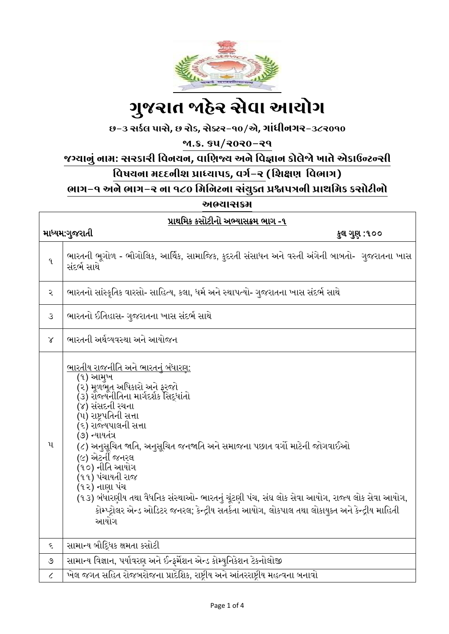

# ગ ુજરાત જાહેર સેવા આયોગ

છ-૩ સર્કલ પાસે**,** છ રોડ**,** સેક્ટર-૧૦/એ**,** ગાાંધીનગર-૩૮૨૦૧૦

જા.ક્ર. ૬૫/૨૦૨૦-૨૧

જગ્યાનુાં નામ: સરર્ારી વવનયન**,** વાવિજ્ય અને વવજ્ઞાન ર્ોલેજો ખાતે એર્ાઉન્ટન્સી

### <u>વિષયના મદદનીશ પ્રાધ્યાપક, વર્ગ-૨ (શિક્ષણ વિભાગ)</u>

ભાગ-૧ અને ભાગ-૨ ના ૧૮૦ વમવનટના સાંયુક્ત પ્રશ્નપત્રની પ્રાથવમર્ ર્સોટીનો

અભ્યાસક્રમ

| પ્રાથમિક કસોટીનો અભ્યાસક્રમ ભાગ -૧ |                                                                                                                                                                                                                                                                                                                                                                                                                                                                                                                                                                               |  |  |
|------------------------------------|-------------------------------------------------------------------------------------------------------------------------------------------------------------------------------------------------------------------------------------------------------------------------------------------------------------------------------------------------------------------------------------------------------------------------------------------------------------------------------------------------------------------------------------------------------------------------------|--|--|
| માધ્યમ:ગુજરાતી<br>કુલ ગુણ :૧૦૦     |                                                                                                                                                                                                                                                                                                                                                                                                                                                                                                                                                                               |  |  |
| q                                  | ભારતની ભૂગોળ - ભૌગોલિક, આર્થિક, સામાજિક, કુદરતી સંસાધન અને વસ્તી અંગેની બાબતો-  ગુજરાતના ખાસ<br>સંદર્ભ સાથે                                                                                                                                                                                                                                                                                                                                                                                                                                                                   |  |  |
| ર                                  | ભારતનો સાંસ્કૃતિક વારસો- સાહિત્ય, કલા, ધર્મ અને સ્થાપત્યો- ગુજરાતના ખાસ સંદર્ભ સાથે                                                                                                                                                                                                                                                                                                                                                                                                                                                                                           |  |  |
| $\mathcal{S}$                      | ભારતનો ઈતિહાસ- ગુજરાતના ખાસ સંદર્ભ સાથે                                                                                                                                                                                                                                                                                                                                                                                                                                                                                                                                       |  |  |
| $\chi$                             | ભારતની અર્થવ્યવસ્થા અને આયોજન                                                                                                                                                                                                                                                                                                                                                                                                                                                                                                                                                 |  |  |
| $\mathbf{u}$                       | ભારતીય રાજનીતિ અને ભારતનું બંધારણ:<br>(૧) આમુખ<br>(૨) મૂળભૂત અધિકારો અને ફરજો<br>(૩) રોજ્યનીતિના માર્ગદર્શક સિદ્ધાંતો<br>(૪) સંસદની રચના<br>(૫) રાષ્ટ્રપતિની સત્તા<br>(૬) રાજ્યપાલની સત્તા<br>(૭) ન્યાયતંત્ર<br>(૮) અનુસૂચિત જાતિ, અનુસૂચિત જનજાતિ અને સમાજના પછાત વર્ગો માટેની જોગવાઈઓ<br>(૯) એટર્ની જનરલ<br>(૧૦) નીતિ આયોગ<br>(૧૧) પંચાયતી રાજ<br>(૧૨) નાણા પંચ<br>(૧૩) બંધારણીય તથા વૈધનિક સંસ્થાઓ- ભારતનું ચૂંટણી પંચ, સંઘ લોક સેવા આયોગ, રાજ્ય લોક સેવા આયોગ,<br>કોમ્પ્ટ્રોલર એન્ડ ઓડિટર જનરલ; કેન્દ્રીય સતર્કતા આયોગ, લોકપાલ તથા લોકાયુક્ત અને કેન્દ્રીય માહિતી<br>આયોગ |  |  |
| ξ                                  | સામાન્ય બૌદ્ધિક ક્ષમતા કસોટી                                                                                                                                                                                                                                                                                                                                                                                                                                                                                                                                                  |  |  |
| ৩                                  | સામાન્ય વિજ્ઞાન, પર્યાવરણ અને ઈન્ફર્મેશન એન્ડ કોમ્યુનિકેશન ટેકનોલોજી                                                                                                                                                                                                                                                                                                                                                                                                                                                                                                          |  |  |
| $\mathcal{L}_{\mathcal{L}}$        | ખેલ જગત સહિત રોજબરોજના પ્રાદેશિક, રાષ્ટ્રીય અને આંતરરાષ્ટ્રીય મહત્વના બનાવો                                                                                                                                                                                                                                                                                                                                                                                                                                                                                                   |  |  |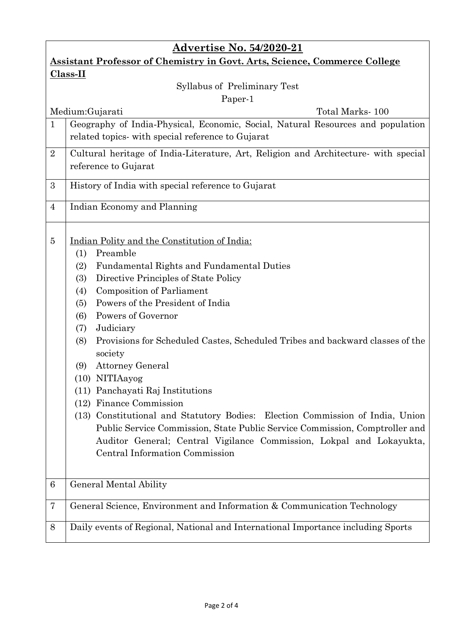| <b>Advertise No. 54/2020-21</b>                                                  |                                                                                                                                                                                                                                                                                                                                                                                                                                                                                                                                                                                                                                                                                                                                                                                                             |  |  |
|----------------------------------------------------------------------------------|-------------------------------------------------------------------------------------------------------------------------------------------------------------------------------------------------------------------------------------------------------------------------------------------------------------------------------------------------------------------------------------------------------------------------------------------------------------------------------------------------------------------------------------------------------------------------------------------------------------------------------------------------------------------------------------------------------------------------------------------------------------------------------------------------------------|--|--|
| <b>Assistant Professor of Chemistry in Govt. Arts, Science, Commerce College</b> |                                                                                                                                                                                                                                                                                                                                                                                                                                                                                                                                                                                                                                                                                                                                                                                                             |  |  |
| $Class-II$                                                                       |                                                                                                                                                                                                                                                                                                                                                                                                                                                                                                                                                                                                                                                                                                                                                                                                             |  |  |
| Syllabus of Preliminary Test                                                     |                                                                                                                                                                                                                                                                                                                                                                                                                                                                                                                                                                                                                                                                                                                                                                                                             |  |  |
| Paper-1<br>Total Marks - 100                                                     |                                                                                                                                                                                                                                                                                                                                                                                                                                                                                                                                                                                                                                                                                                                                                                                                             |  |  |
| $\mathbf{1}$                                                                     | Medium: Gujarati<br>Geography of India-Physical, Economic, Social, Natural Resources and population                                                                                                                                                                                                                                                                                                                                                                                                                                                                                                                                                                                                                                                                                                         |  |  |
|                                                                                  | related topics- with special reference to Gujarat                                                                                                                                                                                                                                                                                                                                                                                                                                                                                                                                                                                                                                                                                                                                                           |  |  |
| $\overline{2}$                                                                   | Cultural heritage of India-Literature, Art, Religion and Architecture with special<br>reference to Gujarat                                                                                                                                                                                                                                                                                                                                                                                                                                                                                                                                                                                                                                                                                                  |  |  |
| 3                                                                                | History of India with special reference to Gujarat                                                                                                                                                                                                                                                                                                                                                                                                                                                                                                                                                                                                                                                                                                                                                          |  |  |
| $\overline{4}$                                                                   | Indian Economy and Planning                                                                                                                                                                                                                                                                                                                                                                                                                                                                                                                                                                                                                                                                                                                                                                                 |  |  |
| 5                                                                                | Indian Polity and the Constitution of India:<br>Preamble<br>(1)<br>Fundamental Rights and Fundamental Duties<br>(2)<br>Directive Principles of State Policy<br>(3)<br><b>Composition of Parliament</b><br>(4)<br>Powers of the President of India<br>(5)<br>Powers of Governor<br>(6)<br>Judiciary<br>(7)<br>Provisions for Scheduled Castes, Scheduled Tribes and backward classes of the<br>(8)<br>society<br><b>Attorney General</b><br>(9)<br>$(10)$ NITIAayog<br>(11) Panchayati Raj Institutions<br>(12) Finance Commission<br>(13) Constitutional and Statutory Bodies: Election Commission of India, Union<br>Public Service Commission, State Public Service Commission, Comptroller and<br>Auditor General; Central Vigilance Commission, Lokpal and Lokayukta,<br>Central Information Commission |  |  |
| 6                                                                                | General Mental Ability                                                                                                                                                                                                                                                                                                                                                                                                                                                                                                                                                                                                                                                                                                                                                                                      |  |  |
| 7                                                                                | General Science, Environment and Information & Communication Technology                                                                                                                                                                                                                                                                                                                                                                                                                                                                                                                                                                                                                                                                                                                                     |  |  |
| 8                                                                                | Daily events of Regional, National and International Importance including Sports                                                                                                                                                                                                                                                                                                                                                                                                                                                                                                                                                                                                                                                                                                                            |  |  |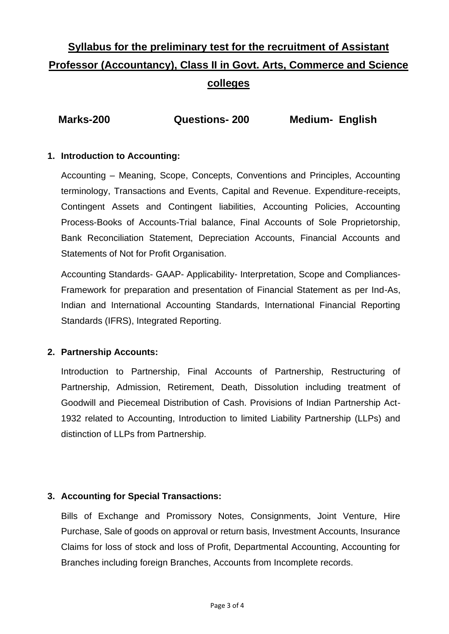## **Syllabus for the preliminary test for the recruitment of Assistant Professor (Accountancy), Class II in Govt. Arts, Commerce and Science colleges**

| Marks-200<br><b>Questions-200</b> | <b>Medium- English</b> |
|-----------------------------------|------------------------|
|-----------------------------------|------------------------|

#### **1. Introduction to Accounting:**

Accounting – Meaning, Scope, Concepts, Conventions and Principles, Accounting terminology, Transactions and Events, Capital and Revenue. Expenditure-receipts, Contingent Assets and Contingent liabilities, Accounting Policies, Accounting Process-Books of Accounts-Trial balance, Final Accounts of Sole Proprietorship, Bank Reconciliation Statement, Depreciation Accounts, Financial Accounts and Statements of Not for Profit Organisation.

Accounting Standards- GAAP- Applicability- Interpretation, Scope and Compliances-Framework for preparation and presentation of Financial Statement as per Ind-As, Indian and International Accounting Standards, International Financial Reporting Standards (IFRS), Integrated Reporting.

#### **2. Partnership Accounts:**

Introduction to Partnership, Final Accounts of Partnership, Restructuring of Partnership, Admission, Retirement, Death, Dissolution including treatment of Goodwill and Piecemeal Distribution of Cash. Provisions of Indian Partnership Act-1932 related to Accounting, Introduction to limited Liability Partnership (LLPs) and distinction of LLPs from Partnership.

#### **3. Accounting for Special Transactions:**

Bills of Exchange and Promissory Notes, Consignments, Joint Venture, Hire Purchase, Sale of goods on approval or return basis, Investment Accounts, Insurance Claims for loss of stock and loss of Profit, Departmental Accounting, Accounting for Branches including foreign Branches, Accounts from Incomplete records.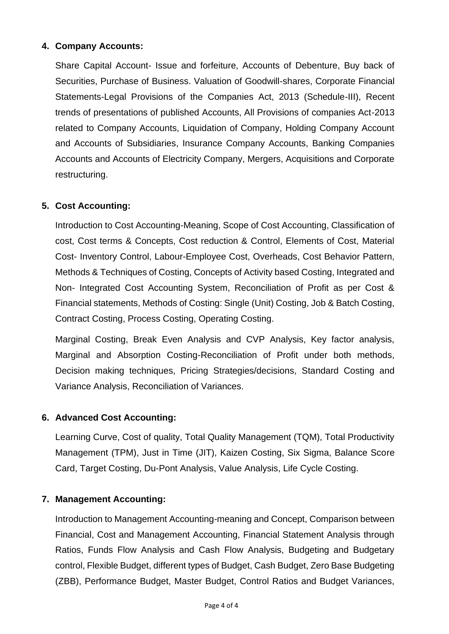#### **4. Company Accounts:**

Share Capital Account- Issue and forfeiture, Accounts of Debenture, Buy back of Securities, Purchase of Business. Valuation of Goodwill-shares, Corporate Financial Statements-Legal Provisions of the Companies Act, 2013 (Schedule-III), Recent trends of presentations of published Accounts, All Provisions of companies Act-2013 related to Company Accounts, Liquidation of Company, Holding Company Account and Accounts of Subsidiaries, Insurance Company Accounts, Banking Companies Accounts and Accounts of Electricity Company, Mergers, Acquisitions and Corporate restructuring.

#### **5. Cost Accounting:**

Introduction to Cost Accounting-Meaning, Scope of Cost Accounting, Classification of cost, Cost terms & Concepts, Cost reduction & Control, Elements of Cost, Material Cost- Inventory Control, Labour-Employee Cost, Overheads, Cost Behavior Pattern, Methods & Techniques of Costing, Concepts of Activity based Costing, Integrated and Non- Integrated Cost Accounting System, Reconciliation of Profit as per Cost & Financial statements, Methods of Costing: Single (Unit) Costing, Job & Batch Costing, Contract Costing, Process Costing, Operating Costing.

Marginal Costing, Break Even Analysis and CVP Analysis, Key factor analysis, Marginal and Absorption Costing-Reconciliation of Profit under both methods, Decision making techniques, Pricing Strategies/decisions, Standard Costing and Variance Analysis, Reconciliation of Variances.

#### **6. Advanced Cost Accounting:**

Learning Curve, Cost of quality, Total Quality Management (TQM), Total Productivity Management (TPM), Just in Time (JIT), Kaizen Costing, Six Sigma, Balance Score Card, Target Costing, Du-Pont Analysis, Value Analysis, Life Cycle Costing.

#### **7. Management Accounting:**

Introduction to Management Accounting-meaning and Concept, Comparison between Financial, Cost and Management Accounting, Financial Statement Analysis through Ratios, Funds Flow Analysis and Cash Flow Analysis, Budgeting and Budgetary control, Flexible Budget, different types of Budget, Cash Budget, Zero Base Budgeting (ZBB), Performance Budget, Master Budget, Control Ratios and Budget Variances,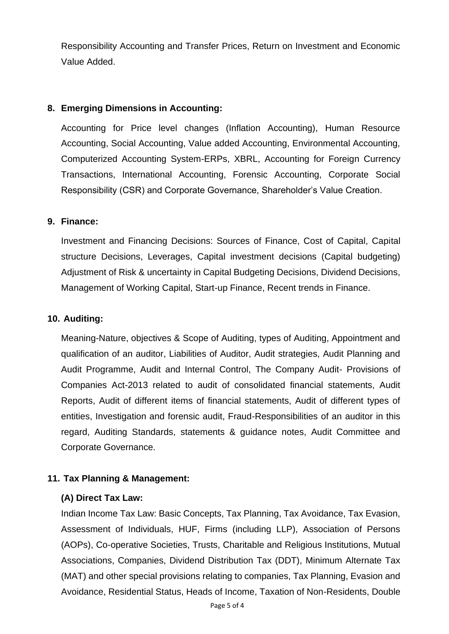Responsibility Accounting and Transfer Prices, Return on Investment and Economic Value Added.

#### **8. Emerging Dimensions in Accounting:**

Accounting for Price level changes (Inflation Accounting), Human Resource Accounting, Social Accounting, Value added Accounting, Environmental Accounting, Computerized Accounting System-ERPs, XBRL, Accounting for Foreign Currency Transactions, International Accounting, Forensic Accounting, Corporate Social Responsibility (CSR) and Corporate Governance, Shareholder's Value Creation.

#### **9. Finance:**

Investment and Financing Decisions: Sources of Finance, Cost of Capital, Capital structure Decisions, Leverages, Capital investment decisions (Capital budgeting) Adjustment of Risk & uncertainty in Capital Budgeting Decisions, Dividend Decisions, Management of Working Capital, Start-up Finance, Recent trends in Finance.

#### **10. Auditing:**

Meaning-Nature, objectives & Scope of Auditing, types of Auditing, Appointment and qualification of an auditor, Liabilities of Auditor, Audit strategies, Audit Planning and Audit Programme, Audit and Internal Control, The Company Audit- Provisions of Companies Act-2013 related to audit of consolidated financial statements, Audit Reports, Audit of different items of financial statements, Audit of different types of entities, Investigation and forensic audit, Fraud-Responsibilities of an auditor in this regard, Auditing Standards, statements & guidance notes, Audit Committee and Corporate Governance.

#### **11. Tax Planning & Management:**

#### **(A) Direct Tax Law:**

Indian Income Tax Law: Basic Concepts, Tax Planning, Tax Avoidance, Tax Evasion, Assessment of Individuals, HUF, Firms (including LLP), Association of Persons (AOPs), Co-operative Societies, Trusts, Charitable and Religious Institutions, Mutual Associations, Companies, Dividend Distribution Tax (DDT), Minimum Alternate Tax (MAT) and other special provisions relating to companies, Tax Planning, Evasion and Avoidance, Residential Status, Heads of Income, Taxation of Non-Residents, Double